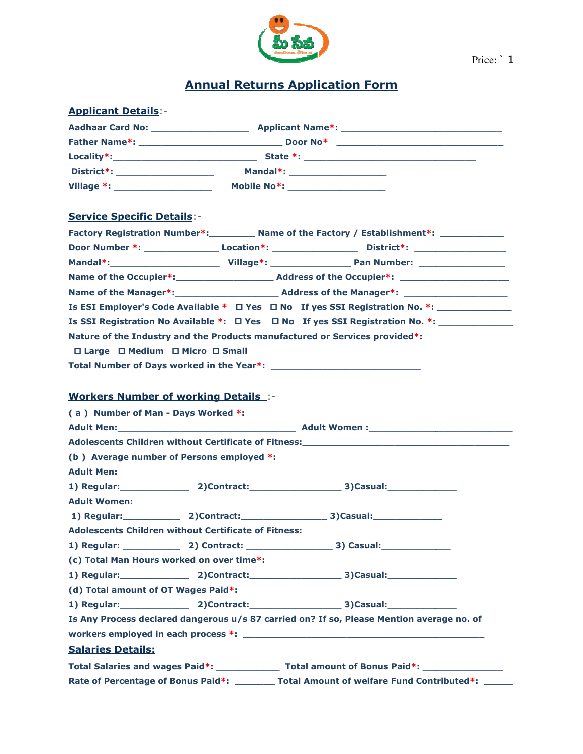

Price: <sup>1</sup>

# Annual Returns Application Form

| <b>Applicant Details:-</b>                                                              |  |                                                                                                                                                                                                                                |  |
|-----------------------------------------------------------------------------------------|--|--------------------------------------------------------------------------------------------------------------------------------------------------------------------------------------------------------------------------------|--|
|                                                                                         |  |                                                                                                                                                                                                                                |  |
|                                                                                         |  |                                                                                                                                                                                                                                |  |
|                                                                                         |  |                                                                                                                                                                                                                                |  |
|                                                                                         |  |                                                                                                                                                                                                                                |  |
|                                                                                         |  |                                                                                                                                                                                                                                |  |
|                                                                                         |  |                                                                                                                                                                                                                                |  |
| <b>Service Specific Details:-</b>                                                       |  |                                                                                                                                                                                                                                |  |
|                                                                                         |  | Factory Registration Number*: _________ Name of the Factory / Establishment*: ____________                                                                                                                                     |  |
|                                                                                         |  |                                                                                                                                                                                                                                |  |
|                                                                                         |  |                                                                                                                                                                                                                                |  |
|                                                                                         |  |                                                                                                                                                                                                                                |  |
|                                                                                         |  |                                                                                                                                                                                                                                |  |
|                                                                                         |  | Is ESI Employer's Code Available * □ Yes □ No If yes SSI Registration No. *: _______________                                                                                                                                   |  |
| Is SSI Registration No Available *: $\Box$ Yes $\Box$ No If yes SSI Registration No. *: |  |                                                                                                                                                                                                                                |  |
| Nature of the Industry and the Products manufactured or Services provided*:             |  |                                                                                                                                                                                                                                |  |
| □ Large □ Medium □ Micro □ Small                                                        |  |                                                                                                                                                                                                                                |  |
|                                                                                         |  |                                                                                                                                                                                                                                |  |
|                                                                                         |  |                                                                                                                                                                                                                                |  |
| <b>Workers Number of working Details :-</b>                                             |  |                                                                                                                                                                                                                                |  |
| (a) Number of Man - Days Worked *:                                                      |  |                                                                                                                                                                                                                                |  |
|                                                                                         |  |                                                                                                                                                                                                                                |  |
|                                                                                         |  | Adolescents Children without Certificate of Fitness: National Contract of School Children and Children and Children and Children and Children and Children and Children and Children and Children and Children and Children an |  |
| (b) Average number of Persons employed *:                                               |  |                                                                                                                                                                                                                                |  |
| <b>Adult Men:</b>                                                                       |  |                                                                                                                                                                                                                                |  |
|                                                                                         |  | 1) Regular: 2)Contract: 2000 2000 3)Casual:                                                                                                                                                                                    |  |
| <b>Adult Women:</b>                                                                     |  |                                                                                                                                                                                                                                |  |
| 1) Regular: 2)Contract: 3)Casual: 3)Casual:                                             |  |                                                                                                                                                                                                                                |  |
| Adolescents Children without Certificate of Fitness:                                    |  |                                                                                                                                                                                                                                |  |
|                                                                                         |  |                                                                                                                                                                                                                                |  |
| (c) Total Man Hours worked on over time*:                                               |  |                                                                                                                                                                                                                                |  |
|                                                                                         |  | 1) Regular: 2)Contract: 3)Casual: 3)Casual:                                                                                                                                                                                    |  |
| (d) Total amount of OT Wages Paid*:                                                     |  |                                                                                                                                                                                                                                |  |
|                                                                                         |  |                                                                                                                                                                                                                                |  |
|                                                                                         |  | Is Any Process declared dangerous u/s 87 carried on? If so, Please Mention average no. of                                                                                                                                      |  |
|                                                                                         |  |                                                                                                                                                                                                                                |  |
| <b>Salaries Details:</b>                                                                |  |                                                                                                                                                                                                                                |  |
|                                                                                         |  | Total Salaries and wages Paid*: __________________ Total amount of Bonus Paid*: ___________________                                                                                                                            |  |
|                                                                                         |  | Rate of Percentage of Bonus Paid*: ________ Total Amount of welfare Fund Contributed*:                                                                                                                                         |  |